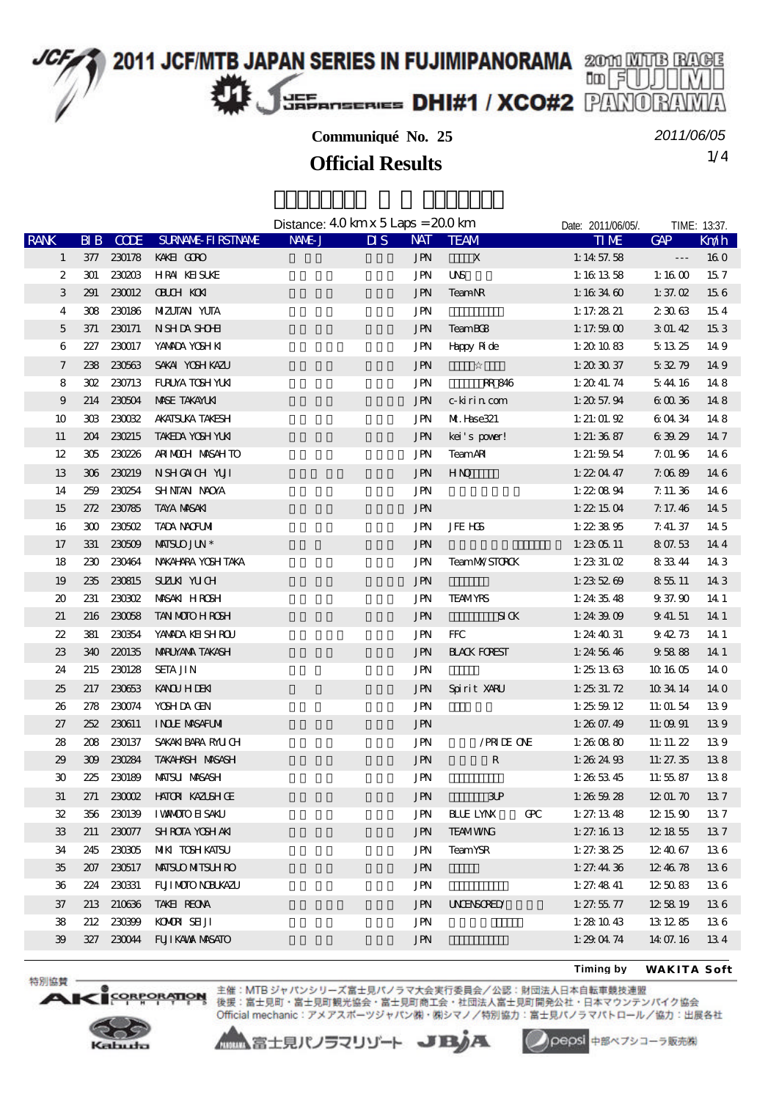

*2011/06/05*

1/4 **Official Results**

|                             |           |               |                           | Distance: $40 \text{ km} \times 5 \text{ Laps} = 200 \text{ km}$ |                                   |            |                      |   | Date: 2011/06/05/. | TIME: 13:37.    |      |
|-----------------------------|-----------|---------------|---------------------------|------------------------------------------------------------------|-----------------------------------|------------|----------------------|---|--------------------|-----------------|------|
| <b>RANK</b>                 | $B\!I\!B$ | <b>CODE</b>   | <b>SURANE FIRSTANE</b>    | NAME J                                                           | $\overline{\mathbf{M}}\mathbf{S}$ | <b>NAT</b> | <b>TEAM</b>          |   | <b>TIME</b>        | GAP             | Kn⁄h |
| $\mathbf{1}$                |           | 377 230178    | KAKEI CORO                |                                                                  |                                   | <b>JPN</b> | X                    |   | 1:14 57.58         | ---             | 160  |
| 2                           |           | 301 230203    | HRAI KEISUKE              |                                                                  |                                   | JPN        | <b>UNS</b>           |   | 1:161358           | 1:16 $00$       | 157  |
| 3                           | 291       | 230012        | <b>OBUH KN</b>            |                                                                  |                                   | <b>JPN</b> | <b>TeamNR</b>        |   | 1:163460           | 1: 37. $\times$ | 156  |
| 4                           |           | 308 230186    | MIZUTAN YUTA              |                                                                  |                                   | JPN        |                      |   | 1: 17. $28\ 21$    | 23063           | 154  |
| 5                           | 371       | 230171        | N SHDA SHOHI              |                                                                  |                                   | <b>JPN</b> | <b>TeamBC8</b>       |   | 1:17.59 $00$       | 301.42          | 153  |
| 6                           | 227       | 230017        | YANADA YOSHIKI            |                                                                  |                                   | JPN        | Happy Ride           |   | 1:201083           | 5 13 25         | 149  |
| $\overline{\phantom{a}}$    |           | 238 230563    | SAKAI YOSH KAZU           |                                                                  |                                   | <b>JPN</b> |                      |   | 1: $203037$        | 53279           | 149  |
| 8                           |           | 302 230713    | FURUYA TOSH YUKI          |                                                                  |                                   | JPN        | RR 846               |   | 1: 2041.74         | 544 16          | 148  |
| 9                           |           | 214 230504    | <b>MSE TAKAYLKI</b>       |                                                                  |                                   | <b>JPN</b> | c-kirin com          |   | 1: 2057.94         | 60036           | 148  |
| 10                          |           | 303 23002     | AKATSUKA TAKESH           |                                                                  |                                   | <b>JPN</b> | Mf. Hase321          |   | 1: $21:01.92$      | 60434           | 148  |
| 11                          |           | 204 230215    | TAKEDA YOSH YUKI          |                                                                  |                                   | JPN        | kei's pover!         |   | 1: $21:36.87$      | 63929           | 14.7 |
| 12                          |           | 305 230226    | ARIMOUH MASAHTO           |                                                                  |                                   | <b>JPN</b> | <b>TeamAR</b>        |   | 1: $21:59.54$      | 7.01.96         | 14 6 |
| 13                          | 306       | 230219        | NSHONCH YUI               |                                                                  |                                   | <b>JPN</b> | HNO                  |   | 1: $220447$        | 7.0689          | 14 6 |
| 14                          |           | 259 230254    | SHNTAN NAOYA              |                                                                  |                                   | JPN        |                      |   | 1: $220894$        | 7.11.36         | 146  |
| 15                          |           | 272 230785    | <b>TAYA MASAKI</b>        |                                                                  |                                   | <b>JPN</b> |                      |   | 1: 221504          | 7.17.46         | 145  |
| 16                          |           | 300 230502    | <b>TADA NACFUMI</b>       |                                                                  |                                   | JPN        | <b>JFE HS</b>        |   | 1: 223895          | 7.41.37         | 14.5 |
| 17                          |           | 331 230509    | <b>MISLO JUN*</b>         |                                                                  |                                   | <b>JPN</b> |                      |   | $1: 23 \times 11$  | 807.53          | 144  |
| 18                          |           | 230 230464    | NAKAHARA YOSH TAKA        |                                                                  |                                   | JPN        | <b>TeamMX/STOROK</b> |   | 1: $233.02$        | 83344           | 14 3 |
| 19                          |           | 235 230815    | SUZUN YUCH                |                                                                  |                                   | <b>JPN</b> |                      |   | 1: 235269          | 85511           | 143  |
| $\boldsymbol{\mathfrak{D}}$ | 231       | <b>230302</b> | MASAKI HROSH              |                                                                  |                                   | <b>JPN</b> | <b>TEAMYRS</b>       |   | 1: 243548          | 9 37 90         | 14 1 |
| 21                          |           | 216 230058    | <b>TAN MOTO H ROSH</b>    |                                                                  |                                   | <b>JPN</b> | S I K                |   | 1:24 $3909$        | 9 41.51         | 14 1 |
| 22                          | 381       | 230354        | YANADA KEISHROU           |                                                                  |                                   | <b>JPN</b> | <b>FFC</b>           |   | 1: $24\ 40\ 31$    | 94273           | 14 1 |
| 23                          | 340       | 220135        | <b>MRUYAMA TAKASH</b>     |                                                                  |                                   | <b>JPN</b> | <b>HACK FOREST</b>   |   | 1:245646           | 95888           | 14 1 |
| 24                          | 215       | 230128        | <b>SETA JIN</b>           |                                                                  |                                   | <b>JPN</b> |                      |   | 1: 251363          | 10 16 05        | 14 0 |
| 25                          | 217       | 230653        | <b>KANQU HIDENI</b>       |                                                                  |                                   | <b>JPN</b> | Spirit XARU          |   | 1: 25331.72        | 10 34 14        | 140  |
| 26                          |           | 278 230074    | YOSH DA GEN               |                                                                  |                                   | JPN        |                      |   | 1: 255912          | 11:01.54        | 139  |
| 27                          | 252       | 230611        | <b>INDE MSAFUM</b>        |                                                                  |                                   | <b>JPN</b> |                      |   | 1: $2607.49$       | 11:09 91        | 139  |
| 28                          |           | 208 230137    | SAKAKI BARA RALICH        |                                                                  |                                   | JPN        | /PRIDE ONE           |   | 1:26 $0880$        | 11: 11. $22$    | 139  |
| 29                          |           | 309 230284    | TAKAHNSH MASASH           |                                                                  |                                   | <b>JPN</b> | R                    |   | 1: 262493          | 11: 27. 35      | 138  |
| 30                          | 225       | 230189        | <b>MAISU MASASH</b>       |                                                                  |                                   | JPN        |                      |   | 1: 265345          | 11:5587         | 138  |
| 31                          |           |               | 271 230002 HATOR KAZISHOE |                                                                  |                                   | <b>JPN</b> | 3P                   |   | 1:26 59.28         | 1201.70         | 137  |
| 32                          | 356       | 230139        | <b>I WANCOTO EI SAKU</b>  |                                                                  |                                   | JPN        | <b>BLUE LYNX</b>     | Œ | 1: 27: 13.48       | 12 15 90        | 137  |
| 33                          | 211       | 230077        | <b>SHROTA YOSHAKI</b>     |                                                                  |                                   | <b>JPN</b> | <b>TEAMWNG</b>       |   | 1: 27: 1613        | 12 18 55        | 137  |
| 34                          | 245       | 230305        | <b>MIKI TOSH KATSU</b>    |                                                                  |                                   | JPN        | <b>TeamYSR</b>       |   | 1: 27: 38.25       | 12 40 67        | 136  |
| 35                          | 207       | 230517        | <b>MISLO MITSLH RO</b>    |                                                                  |                                   | <b>JPN</b> |                      |   | 1: $27.4436$       | 12 46 78        | 136  |
| 36                          |           | 224 230331    | FUI MOIO NEUKAZU          |                                                                  |                                   | <b>JPN</b> |                      |   | 1: 27.48 $41$      | 125083          | 136  |
| 37                          | 213       | 210636        | TAKEI REONA               |                                                                  |                                   | <b>JPN</b> | <b>UNENSORED</b>     |   | 1: 27.55.77        | 12 58 19        | 136  |
| 38                          |           | 212 230399    | KOMORI SEIJI              |                                                                  |                                   | <b>JPN</b> |                      |   | 1:281043           | 13 12 85        | 136  |
| $\mathfrak{B}$              |           | 327 230044    | <b>FUI KAVA MASATO</b>    |                                                                  |                                   | <b>JPN</b> |                      |   | 1: $290474$        | 14 07.16        | 134  |
|                             |           |               |                           |                                                                  |                                   |            |                      |   |                    |                 |      |

**Timing by** *WAKITA Soft*



特別協賛

**A**B

CORPORATION 主催:MTB ジャパンシリーズ富士見パノラマ大会実行委員会/公認:財団法人日本自転車競技連盟<br>CORPORATION 後援:富士見町・富士見町観光協会・富士見町商工会・社団法人富士見町開発公社・日本マウンテンパイク協会 Official mechanic: アメアスポーツジャパン㈱・㈱シマノ/特別協力:富士見パノラマパトロール/協力:出展各社

▲▲富士見パノラマリゾート JBJA



pepsi 中部ペプシコーラ販売株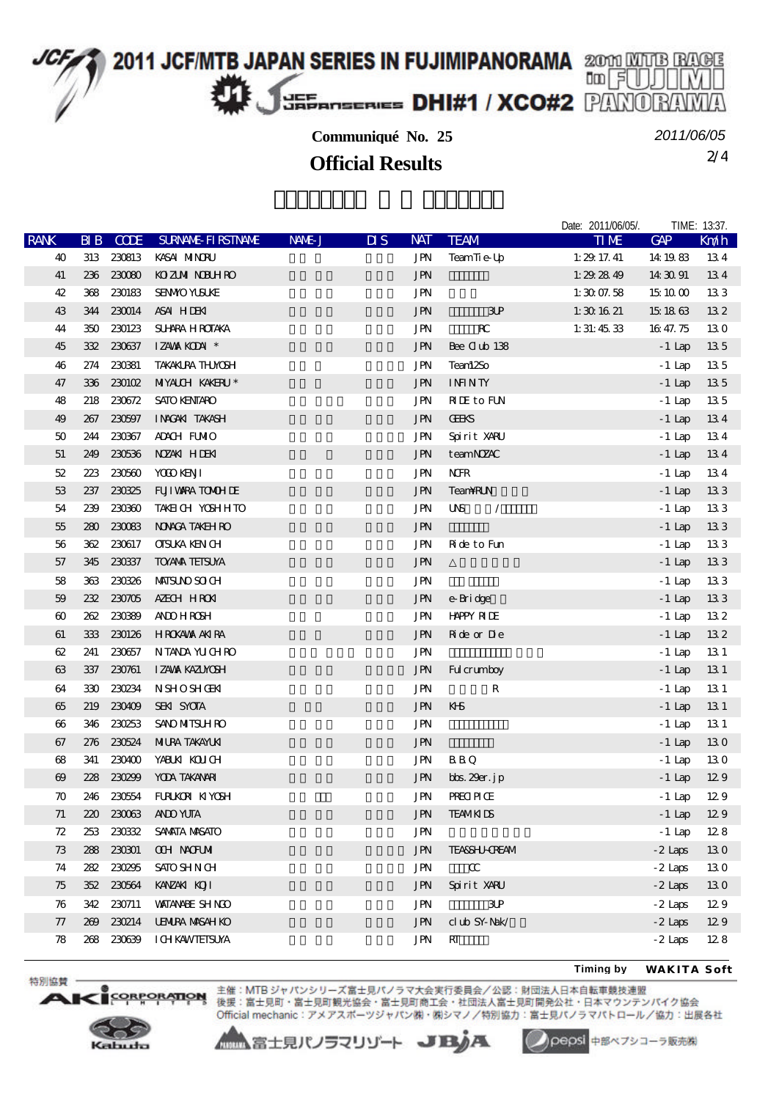

2/4 **Official Results** *2011/06/05*

Date: 2011/06/05/. TIME: 13:37

|                       |     |             |                            |        |                                   |                                    |                                                                                                     | <b>DUID: LUINOUIDUI.</b> |              |      |
|-----------------------|-----|-------------|----------------------------|--------|-----------------------------------|------------------------------------|-----------------------------------------------------------------------------------------------------|--------------------------|--------------|------|
| <b>RANK</b>           | B   | <b>CODE</b> | <b>SURNALE FIRSTNAME</b>   | NAME J | $\overline{\mathbf{u}}\mathbf{s}$ | <b>NAT</b>                         | <b>TEAM</b>                                                                                         | TIME                     | GAP          | Kndh |
| 40                    |     |             | 313 230813 KASAI NINORU    |        |                                   | <b>JPN</b>                         | TeamTie-Up                                                                                          | 1: $29\ 17.41$           | 14 19 83     | 134  |
| 41                    |     |             | 236 230080 KOZUM NDUHRO    |        |                                   | $\mathbf{J}\mathbf{P}\!\mathbf{N}$ |                                                                                                     | 1: $29.2849$             | 14 30 91     | 134  |
| 42                    |     | 368 230183  | <b>SENMO YUSUKE</b>        |        |                                   | <b>JPN</b>                         |                                                                                                     | 1:3007.58                | 15 10 00     | 133  |
| 43                    |     | 344 230014  | ASAI HIDENI                |        |                                   | <b>JPN</b>                         | 3P                                                                                                  | 1:301621                 | 15 18 63     | 132  |
| 44                    |     | 350 230123  | SUHRA H ROTAKA             |        |                                   | JPN                                | $_{\rm RC}$                                                                                         | 1:31:4533                | 16 47.75     | 130  |
| 45                    |     | 332 23037   | IZAWA KODAI*               |        |                                   | <b>JPN</b>                         | Bee Club 138                                                                                        |                          | $-1$ Lap     | 135  |
| 46                    |     | 274 230381  | <b>TAKAKLRA THMOSH</b>     |        |                                   | <b>JPN</b>                         | Tean12So                                                                                            |                          | $-1$ Lap     | 135  |
| 47                    |     |             | 336 230102 MIYALCH KAKERU* |        |                                   | <b>JPN</b>                         | <b>ININTY</b>                                                                                       |                          | $-1$ Lap     | 135  |
| 48                    |     |             | 218 230672 SATO KENTARO    |        |                                   | <b>JPN</b>                         | <b>NIE</b> to FUN                                                                                   |                          | $-1$ Lap     | 135  |
| 49                    | 267 | 230597      | INACAKI TAKASH             |        |                                   | <b>JPN</b>                         | <b>CEKS</b>                                                                                         |                          | $-1$ Lap     | 134  |
| 50                    | 244 | 230367      | ADACH FUMIO                |        |                                   | <b>JPN</b>                         | Spirit XARU                                                                                         |                          | $-1$ Lap     | 134  |
| $51\,$                |     |             | 249 230536 NZAK HDEKI      |        |                                   | <b>JPN</b>                         | teamNZAC                                                                                            |                          | $-1$ Lap     | 134  |
| $52\,$                | 223 | 230560      | YOOD KENJI                 |        |                                   | <b>JPN</b>                         | <b>NFR</b>                                                                                          |                          | $-1$ Lap     | 134  |
| 53                    |     | 237 230325  | FUI WARA TOMOH DE          |        |                                   | <b>JPN</b>                         | TeamRLN                                                                                             |                          | $-1$ Lap     | 133  |
| ${\bf 54}$            |     | 239 230360  | TAKEN CH YOSHHTO           |        |                                   | <b>JPN</b>                         | $\ensuremath{\mathsf{U}}\ensuremath{\mathsf{N}}\ensuremath{\mathsf{S}}$<br>$\overline{\phantom{a}}$ |                          | $-1$ Lap     | 133  |
| $55\,$                | 280 | 230083      | NONGA TAKEH RO             |        |                                   | <b>JPN</b>                         |                                                                                                     |                          | $-1$ Lap     | 133  |
| 56                    |     | 362 230617  | <b>CISUKA KEN CH</b>       |        |                                   | JPN                                | Ride to Fun                                                                                         |                          | $-1$ Lap     | 133  |
| 57                    |     | 345 230337  | <b>TOYAVA TEISUYA</b>      |        |                                   | <b>JPN</b>                         |                                                                                                     |                          | $-1$ Lap     | 133  |
| 58                    |     |             | 363 230326 MAISUNOSOCH     |        |                                   | $\operatorname{JPN}$               |                                                                                                     |                          | $-1$ Lap     | 133  |
| 59                    |     | 232 230705  | AZECH HRON                 |        |                                   | <b>JPN</b>                         | e-Bridge                                                                                            |                          | $-1$ Lap     | 133  |
| $\boldsymbol{\omega}$ |     | 262 23089   | <b>AND HRSH</b>            |        |                                   | <b>JPN</b>                         | <b>HAPPY RIDE</b>                                                                                   |                          | $-1$ Lap     | 132  |
| 61                    |     |             | 333 230126 HROKAWA AKIRA   |        |                                   | <b>JPN</b>                         | <b>R</b> de or De                                                                                   |                          | $-1$ Lap     | 132  |
| 62                    | 241 |             | 230657 NTANA YUCHRO        |        |                                   | JPN                                |                                                                                                     |                          | $-1$ Lap     | 13 1 |
| 63                    |     | 337 230761  | IZAWA KAZUNOSH             |        |                                   | <b>JPN</b>                         | Ful crumboy                                                                                         |                          | $-1$ Lap     | 131  |
| 64                    | 330 | 230234      | <b>NSHOSHGEN</b>           |        |                                   | <b>JPN</b>                         | ${\bf R}$                                                                                           |                          | $-1$ Lap     | 131  |
| 65                    |     | 219 230409  | <b>SEKI SYCIA</b>          |        |                                   | $\mathbf{J}\mathbf{P}\!\mathbf{N}$ | KHS                                                                                                 |                          | $-1$ Lap     | 131  |
| $\boldsymbol{\omega}$ |     | 346 230253  | <b>SAYO MITSUH RO</b>      |        |                                   | <b>JPN</b>                         |                                                                                                     |                          | $-1$ Lap     | 131  |
| 67                    |     | 276 230524  | <b>MIURA TAKAYUKI</b>      |        |                                   | <b>JPN</b>                         |                                                                                                     |                          | $-1$ Lap     | 130  |
| 68                    | 341 |             | 230400 YABUKI KOLICH       |        |                                   | JPN                                | B B Q                                                                                               |                          | $-1$ Lap     | 130  |
| $\boldsymbol{\omega}$ |     | 228 230299  | YODA TAKANARI              |        |                                   | <b>JPN</b>                         | bbs. 29er. jp                                                                                       |                          | $-1$ Lap     | 129  |
| $\boldsymbol{\pi}$    |     |             | 246 230554 FURKOR KIYOSH   |        |                                   | <b>JPN</b>                         | <b>PRECIPICE</b>                                                                                    |                          | $-1$ Lap     | 129  |
| 71                    |     |             | 220 230063 AND YUTA        |        |                                   | JPN                                | <b>TEAMKIDS</b>                                                                                     |                          | $-1$ Lap 129 |      |
| 72                    |     |             | 253 230332 SAMATA MASATO   |        |                                   | JPN                                |                                                                                                     |                          | $-1$ Lap     | 128  |
| 73                    |     | 288 230301  | <b>COH NOTUM</b>           |        |                                   | <b>JPN</b>                         | <b>TEASSHJ-CREAM</b>                                                                                |                          | $-2$ Laps    | 130  |
| 74                    |     | 282 230295  | <b>SATO SHN CH</b>         |        |                                   | JPN                                | $\alpha$                                                                                            |                          | $-2$ Laps    | 130  |
| 75                    |     |             | 352 230564 KANZAKI KOJI    |        |                                   | <b>JPN</b>                         | Spirit XARU                                                                                         |                          | $-2$ Laps    | 130  |
| 76                    |     | 342 230711  | <b>WATANAHE SHNO</b>       |        |                                   | JPN                                | $\mathbf{3}\mathbf{P}$                                                                              |                          | $-2$ Laps    | 129  |
| 77                    |     | 269 230214  | <b>UENIRA MASAH KO</b>     |        |                                   | <b>JPN</b>                         | ${\rm cl}\, {\rm ub}$ SY-Nak/                                                                       |                          | $-2$ Laps    | 129  |
| 78                    |     |             | 268 230639 ICHKAWIEISUYA   |        |                                   | JPN                                | RT                                                                                                  |                          | $-2$ Laps    | 128  |
|                       |     |             |                            |        |                                   |                                    |                                                                                                     |                          |              |      |

**Timing by** *WAKITA Soft*



ORPORATION

特別協賛

 $\blacksquare$ 

主催: MTB ジャパンシリーズ富士見パノラマ大会実行委員会/公認:財団法人日本自転車競技連盟 後援:富士見町・富士見町観光協会・富士見町商工会・社団法人富士見町開発公社・日本マウンテンパイク協会 Official mechanic: アメアスポーツジャパン(株)· (株)シマノ/特別協力:富士見パノラマパトロール/協力:出展各社

▲▲富士見パノラマリゾート JBA

Oepsi 中部ペプシコーラ販売株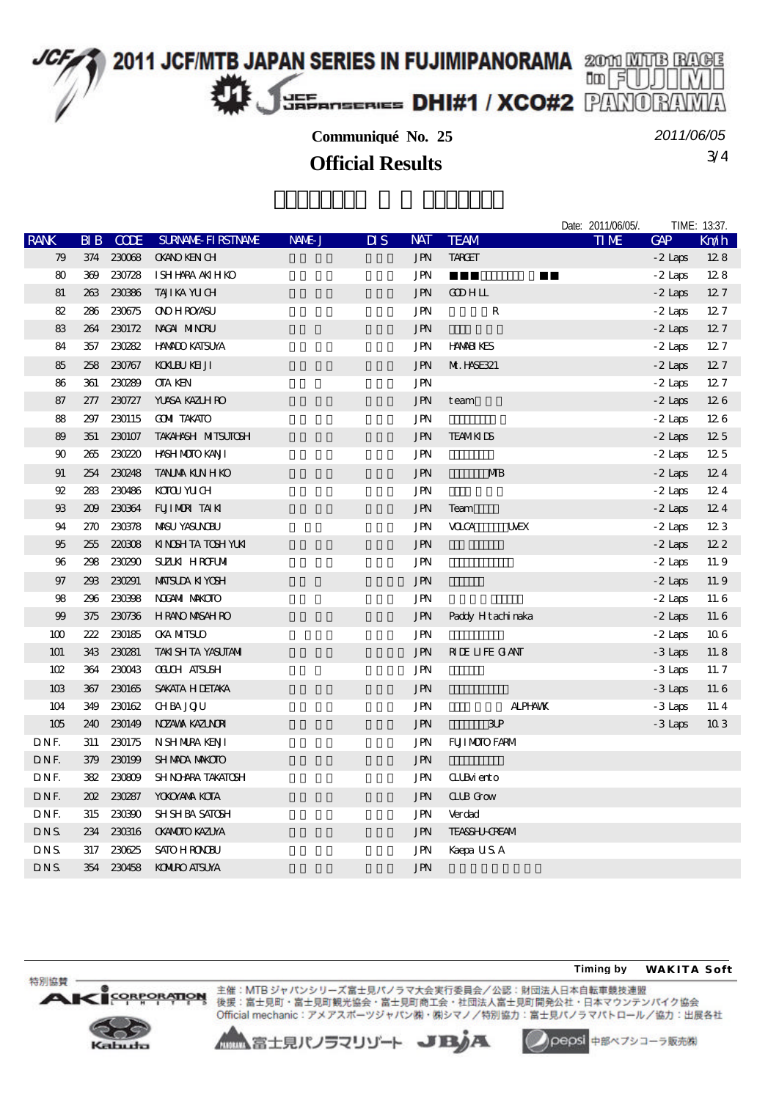

3/4 **Official Results** *2011/06/05*

|                |     |             |                            |        |                           |            |                           | Date: 2011/06/05/. |           | TIME: 13:37. |
|----------------|-----|-------------|----------------------------|--------|---------------------------|------------|---------------------------|--------------------|-----------|--------------|
| <b>RANK</b>    | ЫB  | <b>CCDE</b> | <b>SURNAL FIRSTNALE</b>    | NAME J | $\overline{\mathbf{u}}$ s | <b>NAT</b> | <b>TEAM</b>               | <b>TIME</b>        | GAP       | Km/h         |
| 79             | 374 | 230068      | <b>OKANO KEN CH</b>        |        |                           | <b>JPN</b> | <b>TARCET</b>             |                    | $-2$ Laps | 128          |
| 80             | 369 | 230728      | I SHI HARA AKIH KO         |        |                           | <b>JPN</b> |                           |                    | $-2$ Laps | 128          |
| 81             | 263 | 230386      | TAJIKA YUCH                |        |                           | <b>JPN</b> | <b>COHLL</b>              |                    | $-2$ Laps | 127          |
| 82             | 286 | 230675      | <b>ONO H ROYASU</b>        |        |                           | <b>JPN</b> | ${\bf R}$                 |                    | $-2$ Laps | 127          |
| 83             | 264 | 230172      | NACAI MINORU               |        |                           | <b>JPN</b> |                           |                    | $-2$ Laps | 127          |
| 84             | 357 | 230282      | <b>HNADO KATSUYA</b>       |        |                           | <b>JPN</b> | <b>HAMELYES</b>           |                    | $-2$ Laps | 127          |
| 85             |     | 258 230767  | <b>KOKUEL KELJI</b>        |        |                           | <b>JPN</b> | <b>M. HSE321</b>          |                    | $-2$ Laps | 127          |
| 86             | 361 | 230289      | <b>OTA KEN</b>             |        |                           | JPN        |                           |                    | $-2$ Laps | 127          |
| 87             |     | 277 230727  | <b>YUASA KAZUH RO</b>      |        |                           | <b>JPN</b> | team                      |                    | $-2$ Laps | 126          |
| 88             | 297 | 230115      | <b>COMI TAKATO</b>         |        |                           | <b>JPN</b> |                           |                    | $-2$ Laps | 126          |
| 89             | 351 | 230107      | <b>TAKAHNSH NITISUTOSH</b> |        |                           | <b>JPN</b> | <b>TEAMKIDS</b>           |                    | $-2$ Laps | 125          |
| 90             | 265 | 230220      | <b>HASH MOTO KANT</b>      |        |                           | <b>JPN</b> |                           |                    | $-2$ Laps | 125          |
| 91             | 254 | 230248      | <b>TANJA KINHKO</b>        |        |                           | <b>JPN</b> | MB                        |                    | $-2$ Laps | 124          |
| $92\,$         | 283 | 230486      | KOTOU YU CH                |        |                           | <b>JPN</b> |                           |                    | $-2$ Laps | 124          |
| $\mathfrak{B}$ | 209 | 230364      | FUIMDRITAIN                |        |                           | <b>JPN</b> | Team                      |                    | $-2$ Laps | 124          |
| 94             | 270 | 230378      | <b>MSU YASUNDU</b>         |        |                           | <b>JPN</b> | <b>VOCA</b><br><b>UWX</b> |                    | $-2$ Laps | 123          |
| 95             | 255 | 220308      | KINSHTATOSHYUKI            |        |                           | <b>JPN</b> |                           |                    | $-2$ Laps | 122          |
| 96             | 298 | 230290      | <b>SUZIKI HROFUMI</b>      |        |                           | JPN        |                           |                    | - 2 Laps  | 11.9         |
| 97             | 293 | 230291      | <b>MAISLIA KI YOSH</b>     |        |                           | <b>JPN</b> |                           |                    | $-2$ Laps | 11.9         |
| 98             | 296 | 230398      | <b>NOGAMI MAKCIO</b>       |        |                           | JPN        |                           |                    | $-2$ Laps | 11.6         |
| 99             | 375 | 230736      | <b>HRANO MASAH RO</b>      |        |                           | <b>JPN</b> | Paddy Hitachimaka         |                    | $-2$ Laps | 11.6         |
| 100            | 222 | 230185      | <b>OKA NITSLO</b>          |        |                           | <b>JPN</b> |                           |                    | $-2$ Laps | 106          |
| 101            | 343 | 230281      | <b>TAKI SH TA YASUTAMI</b> |        |                           | <b>JPN</b> | <b>RIE LIFE GANT</b>      |                    | $-3$ Laps | 11.8         |
| 102            | 364 | 230043      | <b>OLUH ATSUSH</b>         |        |                           | <b>JPN</b> |                           |                    | $-3$ Laps | 11.7         |
| 10B            | 367 | 230165      | SAKATA H DETAKA            |        |                           | <b>JPN</b> |                           |                    | $-3$ Laps | 11.6         |
| 104            | 349 | 230162      | <b>CHBA JOJU</b>           |        |                           | <b>JPN</b> | <b>ALPHAMK</b>            |                    | $-3$ Laps | 11.4         |
| 105            | 240 | 230149      | NZAWA KAZINDA              |        |                           | <b>JPN</b> | 3P                        |                    | $-3$ Laps | 103          |
| DNF.           | 311 | 230175      | N SH NURA KENJI            |        |                           | <b>JPN</b> | <b>FUILMOIO FARM</b>      |                    |           |              |
| DNF.           | 379 | 230199      | <b>SH MADA MAKOTO</b>      |        |                           | <b>JPN</b> |                           |                    |           |              |
| DNF.           | 382 | 230809      | SHNOHRA TAKATOSH           |        |                           | JPN        | <b>CLIB</b> iento         |                    |           |              |
| DNF.           | 202 | 230287      | <b>YOKOYAYA KOTA</b>       |        |                           | <b>JPN</b> | <b>ILB</b> Grow           |                    |           |              |
| DNF.           | 315 | 230390      | <b>SH SH BA SATOSH</b>     |        |                           | <b>JPN</b> | Verdad                    |                    |           |              |
| DNS.           | 234 | 230316      | <b>OKANOTO KAZLYA</b>      |        |                           | <b>JPN</b> | <b>TEASSHI-CREAM</b>      |                    |           |              |
| <b>DNS</b>     | 317 | 230625      | <b>SATO HROOBU</b>         |        |                           | <b>JPN</b> | Kaepa USA                 |                    |           |              |
| DNS.           | 354 | 230458      | <b>KOMIRO AISUYA</b>       |        |                           | <b>JPN</b> |                           |                    |           |              |

#### **Timing by** *WAKITA Soft*

**ORPORATION**  $\mathbf{A}$ 

特別協賛

主催: MTB ジャパンシリーズ富士見パノラマ大会実行委員会/公認:財団法人日本自転車競技連盟 後援:富士見町・富士見町観光協会・富士見町商工会・社団法人富士見町開発公社・日本マウンテンパイク協会 Official mechanic: アメアスポーツジャパン(株)· (株)シマノ/特別協力:富士見パノラマパトロール/協力:出展各社